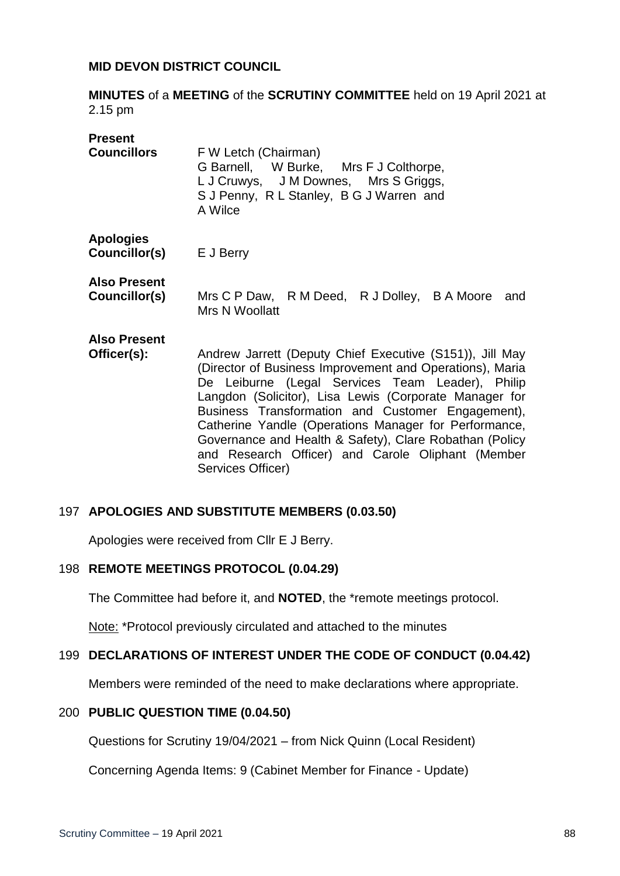### **MID DEVON DISTRICT COUNCIL**

**MINUTES** of a **MEETING** of the **SCRUTINY COMMITTEE** held on 19 April 2021 at 2.15 pm

| <b>Present</b><br><b>Councillors</b>     | F W Letch (Chairman)<br>G Barnell, W Burke, Mrs F J Colthorpe,<br>L J Cruwys, J M Downes, Mrs S Griggs,<br>S J Penny, R L Stanley, B G J Warren and<br>A Wilce                                                                                                                                                                                                                                                                                                                        |
|------------------------------------------|---------------------------------------------------------------------------------------------------------------------------------------------------------------------------------------------------------------------------------------------------------------------------------------------------------------------------------------------------------------------------------------------------------------------------------------------------------------------------------------|
| <b>Apologies</b><br><b>Councillor(s)</b> | E J Berry                                                                                                                                                                                                                                                                                                                                                                                                                                                                             |
| Also Present<br>Councillor(s)            | Mrs C P Daw, R M Deed, R J Dolley, B A Moore<br>and<br>Mrs N Woollatt                                                                                                                                                                                                                                                                                                                                                                                                                 |
| <b>Also Present</b><br>Officer(s):       | Andrew Jarrett (Deputy Chief Executive (S151)), Jill May<br>(Director of Business Improvement and Operations), Maria<br>De Leiburne (Legal Services Team Leader), Philip<br>Langdon (Solicitor), Lisa Lewis (Corporate Manager for<br>Business Transformation and Customer Engagement),<br>Catherine Yandle (Operations Manager for Performance,<br>Governance and Health & Safety), Clare Robathan (Policy<br>and Research Officer) and Carole Oliphant (Member<br>Services Officer) |

#### 197 **APOLOGIES AND SUBSTITUTE MEMBERS (0.03.50)**

Apologies were received from Cllr E J Berry.

#### 198 **REMOTE MEETINGS PROTOCOL (0.04.29)**

The Committee had before it, and **NOTED**, the \*remote meetings protocol.

Note: \*Protocol previously circulated and attached to the minutes

## 199 **DECLARATIONS OF INTEREST UNDER THE CODE OF CONDUCT (0.04.42)**

Members were reminded of the need to make declarations where appropriate.

#### 200 **PUBLIC QUESTION TIME (0.04.50)**

Questions for Scrutiny 19/04/2021 – from Nick Quinn (Local Resident)

Concerning Agenda Items: 9 (Cabinet Member for Finance - Update)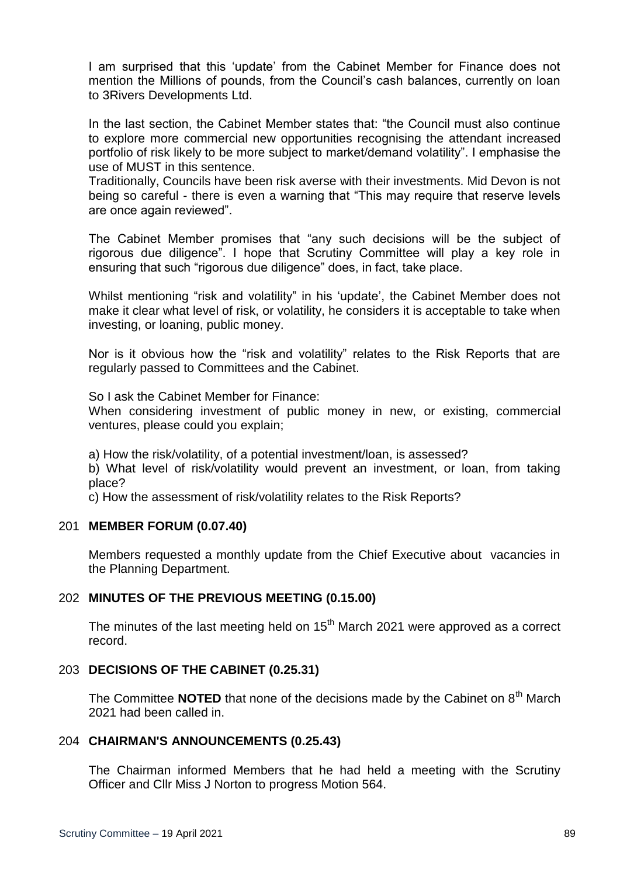I am surprised that this 'update' from the Cabinet Member for Finance does not mention the Millions of pounds, from the Council's cash balances, currently on loan to 3Rivers Developments Ltd.

In the last section, the Cabinet Member states that: "the Council must also continue to explore more commercial new opportunities recognising the attendant increased portfolio of risk likely to be more subject to market/demand volatility". I emphasise the use of MUST in this sentence.

Traditionally, Councils have been risk averse with their investments. Mid Devon is not being so careful - there is even a warning that "This may require that reserve levels are once again reviewed".

The Cabinet Member promises that "any such decisions will be the subject of rigorous due diligence". I hope that Scrutiny Committee will play a key role in ensuring that such "rigorous due diligence" does, in fact, take place.

Whilst mentioning "risk and volatility" in his 'update', the Cabinet Member does not make it clear what level of risk, or volatility, he considers it is acceptable to take when investing, or loaning, public money.

Nor is it obvious how the "risk and volatility" relates to the Risk Reports that are regularly passed to Committees and the Cabinet.

So I ask the Cabinet Member for Finance:

When considering investment of public money in new, or existing, commercial ventures, please could you explain;

a) How the risk/volatility, of a potential investment/loan, is assessed?

b) What level of risk/volatility would prevent an investment, or loan, from taking place?

c) How the assessment of risk/volatility relates to the Risk Reports?

#### 201 **MEMBER FORUM (0.07.40)**

Members requested a monthly update from the Chief Executive about vacancies in the Planning Department.

# 202 **MINUTES OF THE PREVIOUS MEETING (0.15.00)**

The minutes of the last meeting held on  $15<sup>th</sup>$  March 2021 were approved as a correct record.

#### 203 **DECISIONS OF THE CABINET (0.25.31)**

The Committee **NOTED** that none of the decisions made by the Cabinet on 8<sup>th</sup> March 2021 had been called in.

# 204 **CHAIRMAN'S ANNOUNCEMENTS (0.25.43)**

The Chairman informed Members that he had held a meeting with the Scrutiny Officer and Cllr Miss J Norton to progress Motion 564.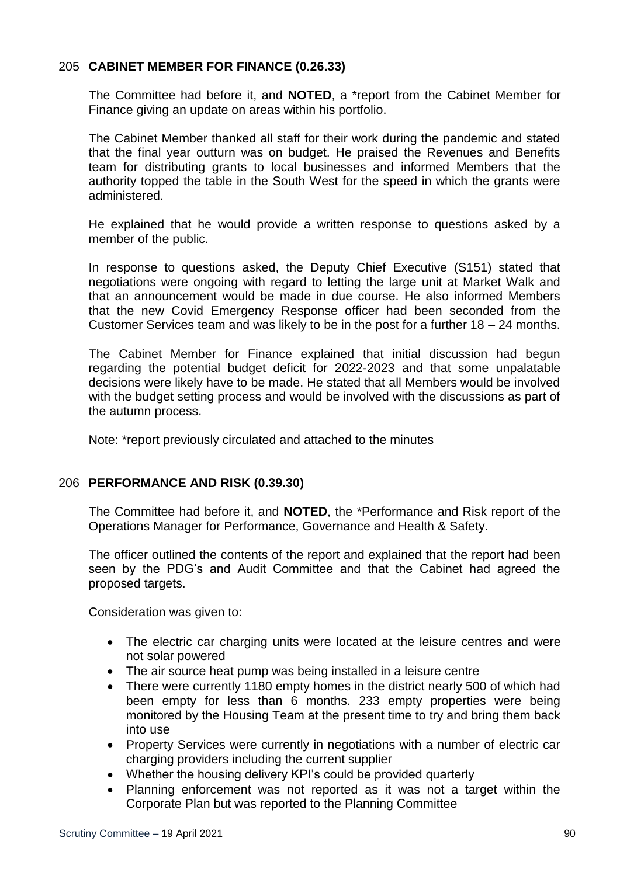## 205 **CABINET MEMBER FOR FINANCE (0.26.33)**

The Committee had before it, and **NOTED**, a \*report from the Cabinet Member for Finance giving an update on areas within his portfolio.

The Cabinet Member thanked all staff for their work during the pandemic and stated that the final year outturn was on budget. He praised the Revenues and Benefits team for distributing grants to local businesses and informed Members that the authority topped the table in the South West for the speed in which the grants were administered.

He explained that he would provide a written response to questions asked by a member of the public.

In response to questions asked, the Deputy Chief Executive (S151) stated that negotiations were ongoing with regard to letting the large unit at Market Walk and that an announcement would be made in due course. He also informed Members that the new Covid Emergency Response officer had been seconded from the Customer Services team and was likely to be in the post for a further 18 – 24 months.

The Cabinet Member for Finance explained that initial discussion had begun regarding the potential budget deficit for 2022-2023 and that some unpalatable decisions were likely have to be made. He stated that all Members would be involved with the budget setting process and would be involved with the discussions as part of the autumn process.

Note: \*report previously circulated and attached to the minutes

## 206 **PERFORMANCE AND RISK (0.39.30)**

The Committee had before it, and **NOTED**, the \*Performance and Risk report of the Operations Manager for Performance, Governance and Health & Safety.

The officer outlined the contents of the report and explained that the report had been seen by the PDG's and Audit Committee and that the Cabinet had agreed the proposed targets.

Consideration was given to:

- The electric car charging units were located at the leisure centres and were not solar powered
- The air source heat pump was being installed in a leisure centre
- There were currently 1180 empty homes in the district nearly 500 of which had been empty for less than 6 months. 233 empty properties were being monitored by the Housing Team at the present time to try and bring them back into use
- Property Services were currently in negotiations with a number of electric car charging providers including the current supplier
- Whether the housing delivery KPI's could be provided quarterly
- Planning enforcement was not reported as it was not a target within the Corporate Plan but was reported to the Planning Committee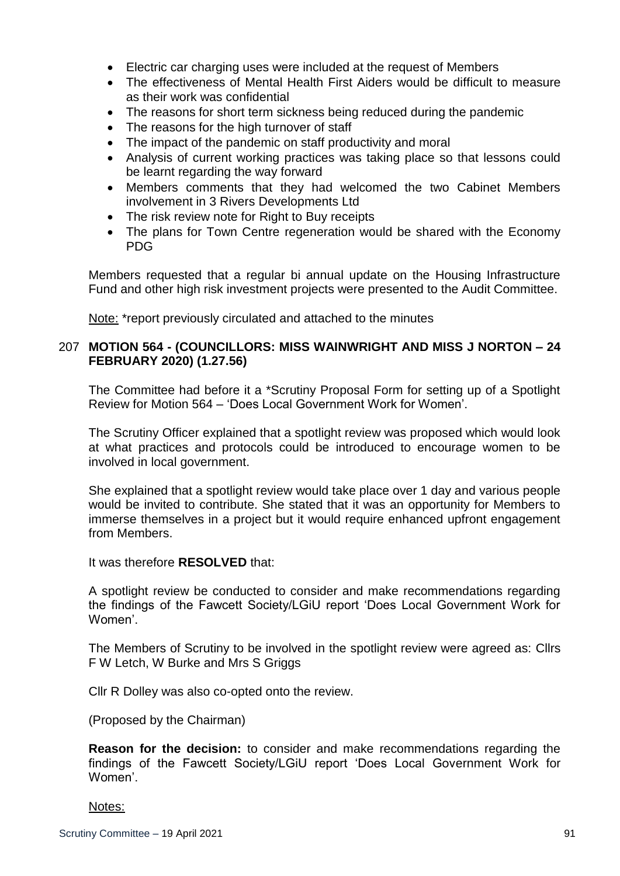- Electric car charging uses were included at the request of Members
- The effectiveness of Mental Health First Aiders would be difficult to measure as their work was confidential
- The reasons for short term sickness being reduced during the pandemic
- The reasons for the high turnover of staff
- The impact of the pandemic on staff productivity and moral
- Analysis of current working practices was taking place so that lessons could be learnt regarding the way forward
- Members comments that they had welcomed the two Cabinet Members involvement in 3 Rivers Developments Ltd
- The risk review note for Right to Buy receipts
- The plans for Town Centre regeneration would be shared with the Economy PDG

Members requested that a regular bi annual update on the Housing Infrastructure Fund and other high risk investment projects were presented to the Audit Committee.

Note: \*report previously circulated and attached to the minutes

## 207 **MOTION 564 - (COUNCILLORS: MISS WAINWRIGHT AND MISS J NORTON – 24 FEBRUARY 2020) (1.27.56)**

The Committee had before it a \*Scrutiny Proposal Form for setting up of a Spotlight Review for Motion 564 – 'Does Local Government Work for Women'.

The Scrutiny Officer explained that a spotlight review was proposed which would look at what practices and protocols could be introduced to encourage women to be involved in local government.

She explained that a spotlight review would take place over 1 day and various people would be invited to contribute. She stated that it was an opportunity for Members to immerse themselves in a project but it would require enhanced upfront engagement from Members.

It was therefore **RESOLVED** that:

A spotlight review be conducted to consider and make recommendations regarding the findings of the Fawcett Society/LGiU report 'Does Local Government Work for Women'.

The Members of Scrutiny to be involved in the spotlight review were agreed as: Cllrs F W Letch, W Burke and Mrs S Griggs

Cllr R Dolley was also co-opted onto the review.

(Proposed by the Chairman)

**Reason for the decision:** to consider and make recommendations regarding the findings of the Fawcett Society/LGiU report 'Does Local Government Work for Women'.

#### Notes: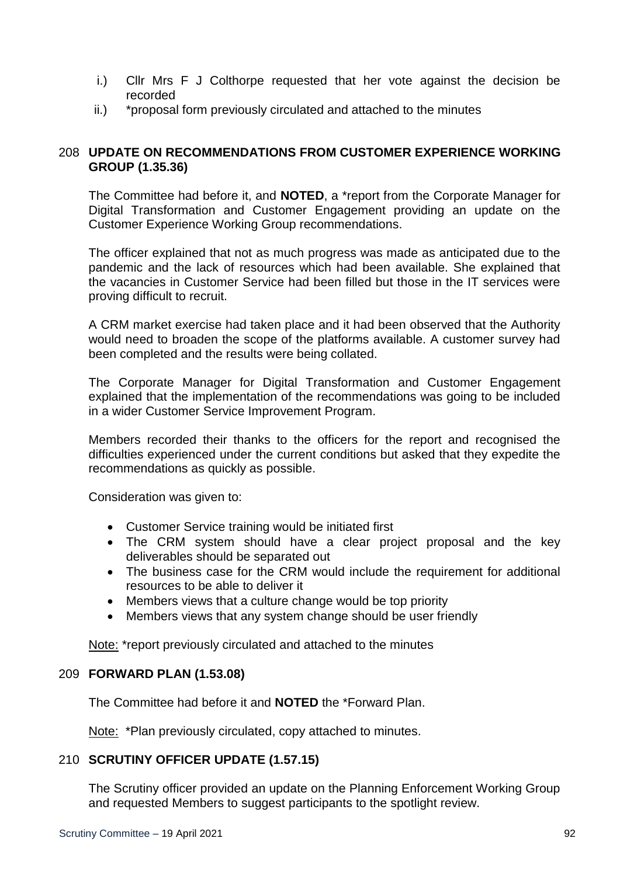- i.) Cllr Mrs F J Colthorpe requested that her vote against the decision be recorded
- ii.) \*proposal form previously circulated and attached to the minutes

# 208 **UPDATE ON RECOMMENDATIONS FROM CUSTOMER EXPERIENCE WORKING GROUP (1.35.36)**

The Committee had before it, and **NOTED**, a \*report from the Corporate Manager for Digital Transformation and Customer Engagement providing an update on the Customer Experience Working Group recommendations.

The officer explained that not as much progress was made as anticipated due to the pandemic and the lack of resources which had been available. She explained that the vacancies in Customer Service had been filled but those in the IT services were proving difficult to recruit.

A CRM market exercise had taken place and it had been observed that the Authority would need to broaden the scope of the platforms available. A customer survey had been completed and the results were being collated.

The Corporate Manager for Digital Transformation and Customer Engagement explained that the implementation of the recommendations was going to be included in a wider Customer Service Improvement Program.

Members recorded their thanks to the officers for the report and recognised the difficulties experienced under the current conditions but asked that they expedite the recommendations as quickly as possible.

Consideration was given to:

- Customer Service training would be initiated first
- The CRM system should have a clear project proposal and the key deliverables should be separated out
- The business case for the CRM would include the requirement for additional resources to be able to deliver it
- Members views that a culture change would be top priority
- Members views that any system change should be user friendly

Note: \*report previously circulated and attached to the minutes

## 209 **FORWARD PLAN (1.53.08)**

The Committee had before it and **NOTED** the \*Forward Plan.

Note: \*Plan previously circulated, copy attached to minutes.

## 210 **SCRUTINY OFFICER UPDATE (1.57.15)**

The Scrutiny officer provided an update on the Planning Enforcement Working Group and requested Members to suggest participants to the spotlight review.